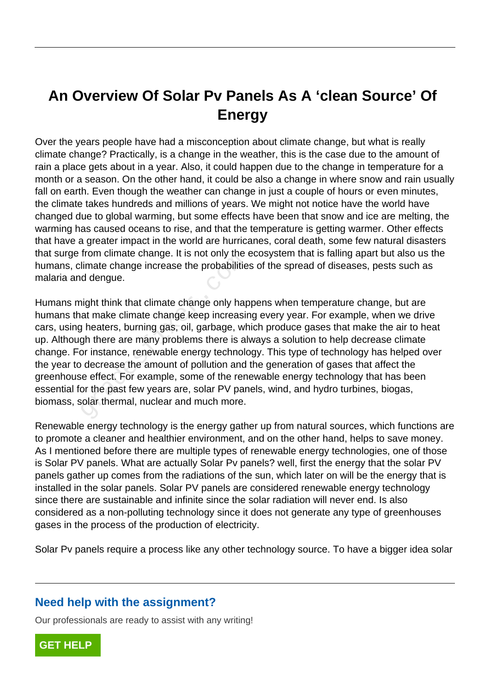## **An Overview Of Solar Pv Panels As A 'clean Source' Of Energy**

Over the years people have had a misconception about climate change, but what is really climate change? Practically, is a change in the weather, this is the case due to the amount of rain a place gets about in a year. Also, it could happen due to the change in temperature for a month or a season. On the other hand, it could be also a change in where snow and rain usually fall on earth. Even though the weather can change in just a couple of hours or even minutes, the climate takes hundreds and millions of years. We might not notice have the world have changed due to global warming, but some effects have been that snow and ice are melting, the warming has caused oceans to rise, and that the temperature is getting warmer. Other effects that have a greater impact in the world are hurricanes, coral death, some few natural disasters that surge from climate change. It is not only the ecosystem that is falling apart but also us the humans, climate change increase the probabilities of the spread of diseases, pests such as malaria and dengue.

Humans might think that climate change only happens when temperature change, but are humans that make climate change keep increasing every year. For example, when we drive cars, using heaters, burning gas, oil, garbage, which produce gases that make the air to heat up. Although there are many problems there is always a solution to help decrease climate change. For instance, renewable energy technology. This type of technology has helped over the year to decrease the amount of pollution and the generation of gases that affect the greenhouse effect. For example, some of the renewable energy technology that has been essential for the past few years are, solar PV panels, wind, and hydro turbines, biogas, biomass, solar thermal, nuclear and much more. From climate change. It is not only the<br>limate change increase the probabilitie<br>d dengue.<br>hight think that climate change only hap<br>at make climate change keep increasing<br>pheaters, burning gas, oil, garbage, where is all<br>of

Renewable energy technology is the energy gather up from natural sources, which functions are to promote a cleaner and healthier environment, and on the other hand, helps to save money. As I mentioned before there are multiple types of renewable energy technologies, one of those is Solar PV panels. What are actually Solar Pv panels? well, first the energy that the solar PV panels gather up comes from the radiations of the sun, which later on will be the energy that is installed in the solar panels. Solar PV panels are considered renewable energy technology since there are sustainable and infinite since the solar radiation will never end. Is also considered as a non-polluting technology since it does not generate any type of greenhouses gases in the process of the production of electricity.

Solar Pv panels require a process like any other technology source. To have a bigger idea solar

## **Need help with the assignment?**

Our professionals are ready to assist with any writing!

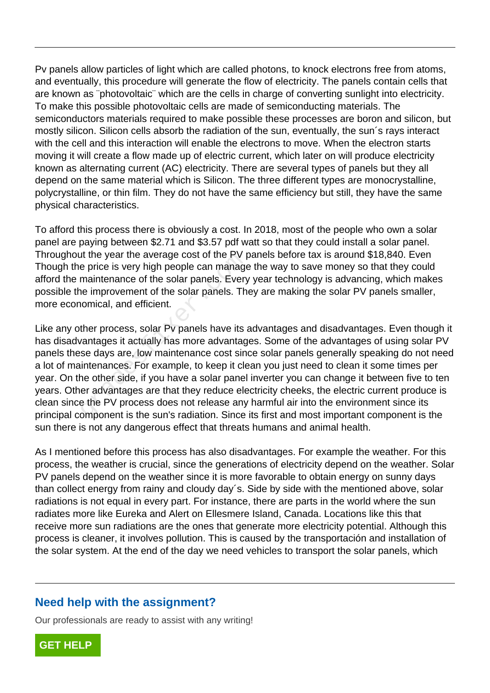Pv panels allow particles of light which are called photons, to knock electrons free from atoms, and eventually, this procedure will generate the flow of electricity. The panels contain cells that are known as ¨photovoltaic¨ which are the cells in charge of converting sunlight into electricity. To make this possible photovoltaic cells are made of semiconducting materials. The semiconductors materials required to make possible these processes are boron and silicon, but mostly silicon. Silicon cells absorb the radiation of the sun, eventually, the sun´s rays interact with the cell and this interaction will enable the electrons to move. When the electron starts moving it will create a flow made up of electric current, which later on will produce electricity known as alternating current (AC) electricity. There are several types of panels but they all depend on the same material which is Silicon. The three different types are monocrystalline, polycrystalline, or thin film. They do not have the same efficiency but still, they have the same physical characteristics.

To afford this process there is obviously a cost. In 2018, most of the people who own a solar panel are paying between \$2.71 and \$3.57 pdf watt so that they could install a solar panel. Throughout the year the average cost of the PV panels before tax is around \$18,840. Even Though the price is very high people can manage the way to save money so that they could afford the maintenance of the solar panels. Every year technology is advancing, which makes possible the improvement of the solar panels. They are making the solar PV panels smaller, more economical, and efficient.

Like any other process, solar Py panels have its advantages and disadvantages. Even though it has disadvantages it actually has more advantages. Some of the advantages of using solar PV panels these days are, low maintenance cost since solar panels generally speaking do not need a lot of maintenances. For example, to keep it clean you just need to clean it some times per year. On the other side, if you have a solar panel inverter you can change it between five to ten years. Other advantages are that they reduce electricity cheeks, the electric current produce is clean since the PV process does not release any harmful air into the environment since its principal component is the sun's radiation. Since its first and most important component is the sun there is not any dangerous effect that threats humans and animal health. In the year the average cost of the PV p<br>e price is very high people can manage<br>maintenance of the solar panels. Every<br>ne improvement of the solar panels. Th<br>iomical, and efficient.<br>ther process, solar Pv panels have its a

As I mentioned before this process has also disadvantages. For example the weather. For this process, the weather is crucial, since the generations of electricity depend on the weather. Solar PV panels depend on the weather since it is more favorable to obtain energy on sunny days than collect energy from rainy and cloudy day´s. Side by side with the mentioned above, solar radiations is not equal in every part. For instance, there are parts in the world where the sun radiates more like Eureka and Alert on Ellesmere Island, Canada. Locations like this that receive more sun radiations are the ones that generate more electricity potential. Although this process is cleaner, it involves pollution. This is caused by the transportación and installation of the solar system. At the end of the day we need vehicles to transport the solar panels, which

## **Need help with the assignment?**

Our professionals are ready to assist with any writing!

**[GET HELP](https://my.gradesfixer.com/order?utm_campaign=pdf_sample)**